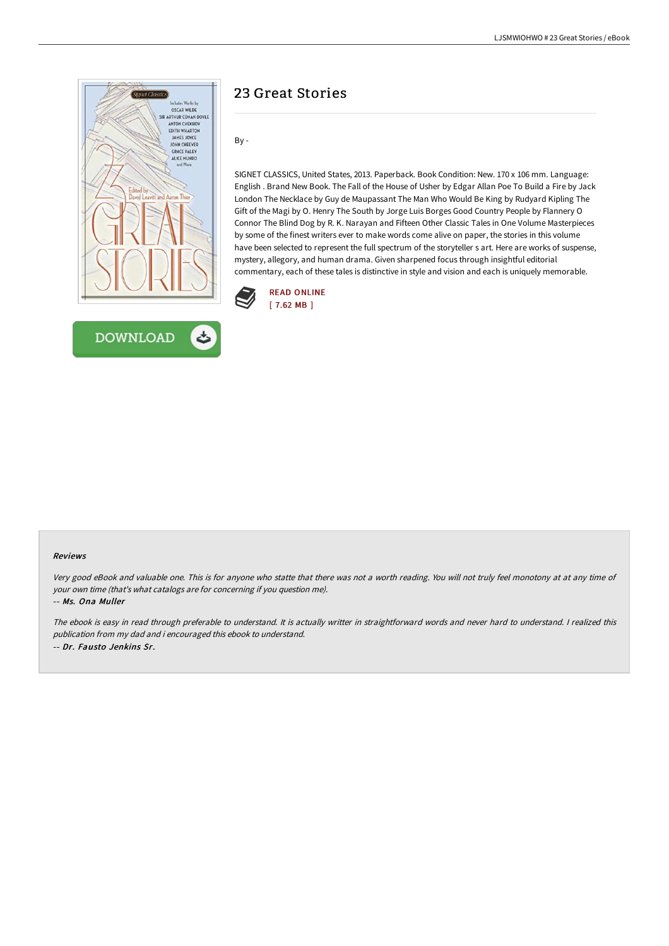

# **DOWNLOAD**

## 23 Great Stories

By -

SIGNET CLASSICS, United States, 2013. Paperback. Book Condition: New. 170 x 106 mm. Language: English . Brand New Book. The Fall of the House of Usher by Edgar Allan Poe To Build a Fire by Jack London The Necklace by Guy de Maupassant The Man Who Would Be King by Rudyard Kipling The Gift of the Magi by O. Henry The South by Jorge Luis Borges Good Country People by Flannery O Connor The Blind Dog by R. K. Narayan and Fifteen Other Classic Tales in One Volume Masterpieces by some of the finest writers ever to make words come alive on paper, the stories in this volume have been selected to represent the full spectrum of the storyteller s art. Here are works of suspense, mystery, allegory, and human drama. Given sharpened focus through insightful editorial commentary, each of these tales is distinctive in style and vision and each is uniquely memorable.



### Reviews

Very good eBook and valuable one. This is for anyone who statte that there was not <sup>a</sup> worth reading. You will not truly feel monotony at at any time of your own time (that's what catalogs are for concerning if you question me).

-- Ms. Ona Muller

The ebook is easy in read through preferable to understand. It is actually writter in straightforward words and never hard to understand. <sup>I</sup> realized this publication from my dad and i encouraged this ebook to understand. -- Dr. Fausto Jenkins Sr.